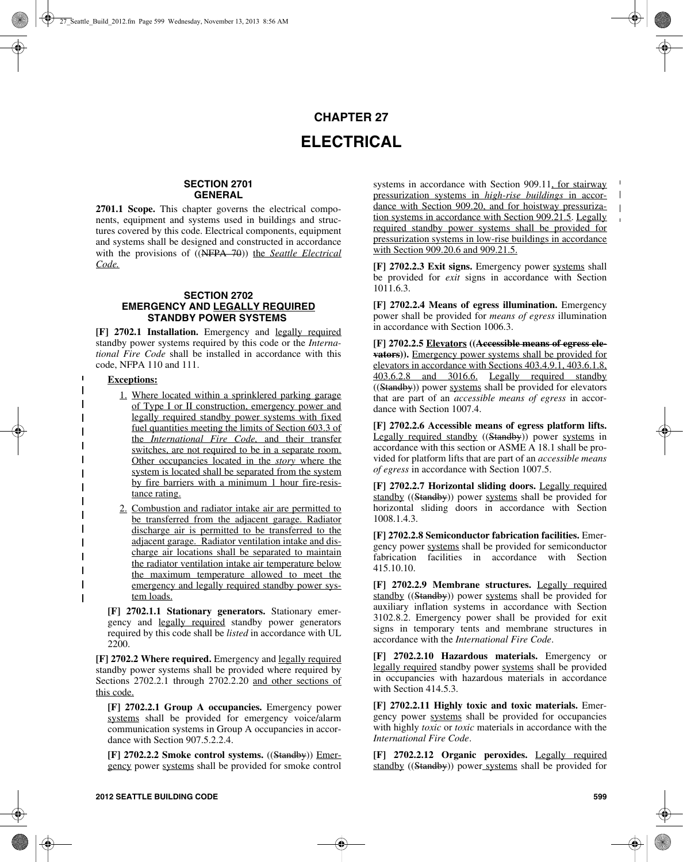## **CHAPTER 27 ELECTRICAL**

## **SECTION 2701 GENERAL**

2701.1 Scope. This chapter governs the electrical components, equipment and systems used in buildings and structures covered by this code. Electrical components, equipment and systems shall be designed and constructed in accordance with the provisions of ((NFPA 70)) the *Seattle Electrical Code.*

## **SECTION 2702 EMERGENCY AND LEGALLY REQUIRED STANDBY POWER SYSTEMS**

**[F] 2702.1 Installation.** Emergency and legally required standby power systems required by this code or the *International Fire Code* shall be installed in accordance with this code, NFPA 110 and 111.

## **Exceptions:**

 $\blacksquare$  $\mathbf{I}$  $\overline{\phantom{a}}$  $\mathbf{I}$  $\mathbf{I}$  $\mathbf{I}$  $\mathbf{I}$ 

 $\mathbf{I}$  $\mathbf{I}$  $\overline{\phantom{a}}$  $\mathbf I$  $\mathbf{I}$  $\overline{\phantom{a}}$  $\mathbf{I}$  $\mathbf{I}$  $\overline{1}$  1. Where located within a sprinklered parking garage of Type I or II construction, emergency power and legally required standby power systems with fixed fuel quantities meeting the limits of Section 603.3 of the *International Fire Code,* and their transfer switches, are not required to be in a separate room. Other occupancies located in the *story* where the system is located shall be separated from the system by fire barriers with a minimum 1 hour fire-resistance rating.

2. Combustion and radiator intake air are permitted to be transferred from the adjacent garage. Radiator discharge air is permitted to be transferred to the adjacent garage. Radiator ventilation intake and discharge air locations shall be separated to maintain the radiator ventilation intake air temperature below the maximum temperature allowed to meet the emergency and legally required standby power system loads.

**[F] 2702.1.1 Stationary generators.** Stationary emergency and legally required standby power generators required by this code shall be *listed* in accordance with UL 2200.

**[F] 2702.2 Where required.** Emergency and legally required standby power systems shall be provided where required by Sections 2702.2.1 through 2702.2.20 and other sections of this code.

**[F] 2702.2.1 Group A occupancies.** Emergency power systems shall be provided for emergency voice/alarm communication systems in Group A occupancies in accordance with Section 907.5.2.2.4.

**[F] 2702.2.2 Smoke control systems.** ((Standby)) Emergency power systems shall be provided for smoke control

systems in accordance with Section 909.11, for stairway pressurization systems in *high-rise buildings* in accordance with Section 909.20, and for hoistway pressurization systems in accordance with Section 909.21.5. Legally required standby power systems shall be provided for pressurization systems in low-rise buildings in accordance with Section 909.20.6 and 909.21.5.

 $\mathbf I$ 

 $\mathbf{r}$ 

**[F] 2702.2.3 Exit signs.** Emergency power systems shall be provided for *exit* signs in accordance with Section 1011.6.3.

**[F] 2702.2.4 Means of egress illumination.** Emergency power shall be provided for *means of egress* illumination in accordance with Section 1006.3.

**[F] 2702.2.5 Elevators ((Accessible means of egress elevators)).** Emergency power systems shall be provided for elevators in accordance with Sections 403.4.9.1, 403.6.1.8, 403.6.2.8 and 3016.6. Legally required standby ((Standby)) power systems shall be provided for elevators that are part of an *accessible means of egress* in accordance with Section 1007.4.

**[F] 2702.2.6 Accessible means of egress platform lifts.** Legally required standby ((Standby)) power systems in accordance with this section or ASME A 18.1 shall be provided for platform lifts that are part of an *accessible means of egress* in accordance with Section 1007.5.

**[F] 2702.2.7 Horizontal sliding doors.** Legally required standby ((Standby)) power systems shall be provided for horizontal sliding doors in accordance with Section 1008.1.4.3.

**[F] 2702.2.8 Semiconductor fabrication facilities.** Emergency power systems shall be provided for semiconductor fabrication facilities in accordance with Section 415.10.10.

**[F] 2702.2.9 Membrane structures.** Legally required standby ((Standby)) power systems shall be provided for auxiliary inflation systems in accordance with Section 3102.8.2. Emergency power shall be provided for exit signs in temporary tents and membrane structures in accordance with the *International Fire Code*.

**[F] 2702.2.10 Hazardous materials.** Emergency or legally required standby power systems shall be provided in occupancies with hazardous materials in accordance with Section 414.5.3.

**[F] 2702.2.11 Highly toxic and toxic materials.** Emergency power systems shall be provided for occupancies with highly *toxic* or *toxic* materials in accordance with the *International Fire Code*.

**[F] 2702.2.12 Organic peroxides.** Legally required standby ((Standby)) power systems shall be provided for